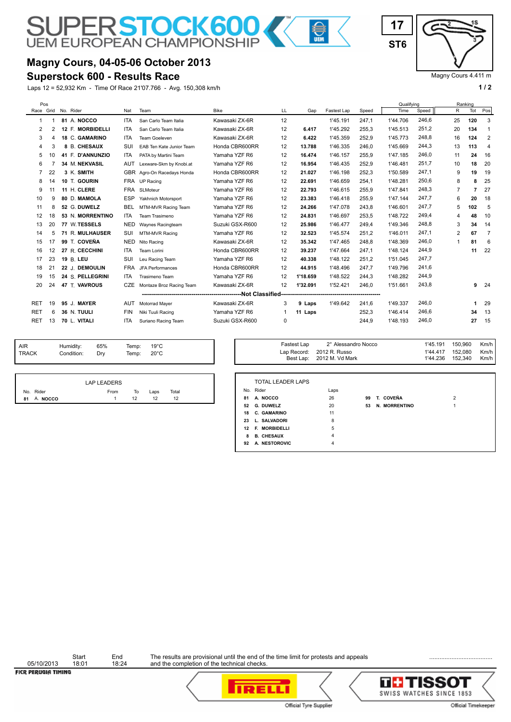## **Magny Cours, 04-05-06 October 2013**

**SUPERSTOCK600** 

## **Superstock 600 - Results Race**

Laps 12 = 52,932 Km - Time Of Race 21'07.766 - Avg. 150,308 km/h **1 and 2 1 and 2 1 a 1 a 1 a 1 a 1 a 1 a 1 a 1 a 1 a 1 a 1 a 1 a 1 a 1 a 1 a 1 a 1 a 1 a 1 a 1 a 1 a 1 a 1 a** 

Magny Cours 4.411 m

|            | Pos       |           |                  |            |                          |                 |    |          |             |       | Qualifving |       |                | Ranking |                |
|------------|-----------|-----------|------------------|------------|--------------------------|-----------------|----|----------|-------------|-------|------------|-------|----------------|---------|----------------|
|            | Race Grid | No. Rider |                  | Nat        | Team                     | <b>Bike</b>     | LL | Gap      | Fastest Lap | Speed | Time       | Speed | R              | Tot     | Pos            |
| -1         |           |           | 81 A. NOCCO      | <b>ITA</b> | San Carlo Team Italia    | Kawasaki ZX-6R  | 12 |          | 1'45.191    | 247,1 | 1'44.706   | 246,6 | 25             | 120     | 3              |
| 2          | 2         |           | 12 F. MORBIDELLI | <b>ITA</b> | San Carlo Team Italia    | Kawasaki ZX-6R  | 12 | 6.417    | 1'45.292    | 255,3 | 1'45.513   | 251.2 | 20             | 134     | $\mathbf 1$    |
| 3          | 4         |           | 18 C. GAMARINO   | <b>ITA</b> | Team Goeleven            | Kawasaki ZX-6R  | 12 | 6.422    | 1'45.359    | 252.9 | 1'45,773   | 248.8 | 16             | 124     | $\overline{2}$ |
| 4          | 3         |           | 8 B. CHESAUX     | SUI        | EAB Ten Kate Junior Team | Honda CBR600RR  | 12 | 13.788   | 1'46.335    | 246.0 | 1'45.669   | 244,3 | 13             | 113     | $\overline{4}$ |
| 5          | 10        |           | 41 F. D'ANNUNZIO | <b>ITA</b> | PATA by Martini Team     | Yamaha YZF R6   | 12 | 16.474   | 1'46.157    | 255.9 | 1'47.185   | 246,0 | 11             | 24      | 16             |
| 6          |           |           | 34 M. NEKVASIL   | <b>AUT</b> | Lexware-Skm by Knobi.at  | Yamaha YZF R6   | 12 | 16.954   | 1'46.435    | 252,9 | 1'46.481   | 251.7 | 10             | 18      | 20             |
| 7          | 22        |           | 3 K. SMITH       | <b>GBR</b> | Agro-On Racedays Honda   | Honda CBR600RR  | 12 | 21.027   | 1'46.198    | 252,3 | 1'50.589   | 247,1 | 9              | 19      | 19             |
| 8          | 14        |           | 10 T. GOURIN     |            | FRA UP Racing            | Yamaha YZF R6   | 12 | 22.691   | 1'46.659    | 254.1 | 1'48.281   | 250.6 | 8              | 8       | 25             |
| 9          | 11        |           | 11 H. CLERE      | <b>FRA</b> | SLMoteur                 | Yamaha YZF R6   | 12 | 22.793   | 1'46.615    | 255,9 | 1'47.841   | 248.3 | $\overline{7}$ | 7       | 27             |
| 10         | 9         |           | 80 D. MAMOLA     | ESP        | Yakhnich Motorsport      | Yamaha YZF R6   | 12 | 23.383   | 1'46.418    | 255,9 | 1'47.144   | 247.7 | 6              | 20      | 18             |
| 11         | 8         |           | 52 G. DUWELZ     | BEL        | MTM-MVR Racing Team      | Yamaha YZF R6   | 12 | 24.266   | 1'47.078    | 243.8 | 1'46.601   | 247,7 | 5              | 102     | 5              |
| 12         | 18        |           | 53 N. MORRENTINO | <b>ITA</b> | Team Trasimeno           | Yamaha YZF R6   | 12 | 24.831   | 1'46.697    | 253,5 | 1'48.722   | 249,4 | 4              | 48      | 10             |
| 13         | 20        |           | 77 W. TESSELS    | <b>NED</b> | Waynes Racingteam        | Suzuki GSX-R600 | 12 | 25.986   | 1'46.477    | 249.4 | 1'49.346   | 248,8 | 3              | 34      | 14             |
| 14         | 5         |           | 71 R. MULHAUSER  | SUI        | MTM-MVR Racing           | Yamaha YZF R6   | 12 | 32.523   | 1'45.574    | 251,2 | 1'46.011   | 247,1 | 2              | 67      | 7              |
| 15         | 17        |           | 99 T. COVEÑA     | <b>NED</b> | Nito Racing              | Kawasaki ZX-6R  | 12 | 35.342   | 1'47.465    | 248.8 | 1'48.369   | 246.0 | 1              | 81      | 6              |
| 16         | 12        |           | 27 R. CECCHINI   | <b>ITA</b> | Team Lorini              | Honda CBR600RR  | 12 | 39.237   | 1'47.664    | 247,1 | 1'48.124   | 244,9 |                | 11      | 22             |
| 17         | 23        |           | 19 B. LEU        | SUI        | Leu Racing Team          | Yamaha YZF R6   | 12 | 40.338   | 1'48.122    | 251,2 | 1'51.045   | 247.7 |                |         |                |
| 18         | 21        |           | 22 J. DEMOULIN   | <b>FRA</b> | JFA Performances         | Honda CBR600RR  | 12 | 44.915   | 1'48.496    | 247,7 | 1'49.796   | 241,6 |                |         |                |
| 19         | 15        |           | 24 S. PELLEGRINI | ITA.       | Trasimeno Team           | Yamaha YZF R6   | 12 | 1'18.659 | 1'48.522    | 244,3 | 1'48.282   | 244,9 |                |         |                |
| 20         | 24        |           | 47 T. VAVROUS    | <b>CZE</b> | Montaze Broz Racing Team | Kawasaki ZX-6R  | 12 | 1'32.091 | 1'52.421    | 246.0 | 1'51.661   | 243,8 |                | 9       | 24             |
|            |           |           |                  |            |                          |                 |    |          |             |       |            |       |                |         |                |
| RET        | 19        |           | 95 J. MAYER      | AUT        | Motorrad Mayer           | Kawasaki ZX-6R  | 3  | 9 Laps   | 1'49.642    | 241,6 | 1'49.337   | 246.0 |                |         | 29             |
| <b>RET</b> | 6         |           | 36 N. TUULI      | <b>FIN</b> | Niki Tuuli Racing        | Yamaha YZF R6   | 1  | 11 Laps  |             | 252,3 | 1'46.414   | 246,6 |                | 34      | 13             |
| <b>RET</b> | 13        |           | 70 L. VITALI     | <b>ITA</b> | Suriano Racing Team      | Suzuki GSX-R600 | 0  |          |             | 244.9 | 1'48.193   | 246,0 |                | 27      | 15             |

**CONTRACT** 

| <b>AIR</b> | Humidity:  | 65% | Temp: | $19^{\circ}$ C |
|------------|------------|-----|-------|----------------|
| TRACK      | Condition: | Drv | Temp: | $20^{\circ}$ C |

| Temp:<br>Temp: | $19^{\circ}$ C<br>$20^{\circ}$ C |       |    | Fastest Lap<br>Lap Record:            | 2° Alessandro Nocco<br>2012 R. Russo<br>Best Lap: 2012 M. Vd Mark |    |               | 1'45.191<br>1'44.417<br>1'44.236 | 150,960<br>152.080<br>152,340 | Km/h<br>Km/h<br>Km/h |
|----------------|----------------------------------|-------|----|---------------------------------------|-------------------------------------------------------------------|----|---------------|----------------------------------|-------------------------------|----------------------|
| To             | Laps                             | Total |    | <b>TOTAL LEADER LAPS</b><br>No. Rider | Laps                                                              |    |               |                                  |                               |                      |
| 12             | 12                               | 12    |    | 81 A. NOCCO                           | 26                                                                | 99 | T. COVEÑA     |                                  | $\overline{2}$                |                      |
|                |                                  |       |    | 52 G. DUWELZ                          | 20                                                                | 53 | N. MORRENTINO |                                  |                               |                      |
|                |                                  |       | 18 | <b>C. GAMARINO</b>                    | 11                                                                |    |               |                                  |                               |                      |
|                |                                  |       |    | 23 L. SALVADORI                       | 8                                                                 |    |               |                                  |                               |                      |

|             | LAP LEADERS |    |      |       |  |
|-------------|-------------|----|------|-------|--|
| No. Rider   | From        | To | Laps | Total |  |
| 81 A. NOCCO |             | 12 | 12   | 12    |  |

Start End The results are provisional until the end of the time limit for protests and appeals **Endingle Community** and the completion of the technical checks.



 **12 F. MORBIDELLI** 5  **8 B. CHESAUX** 4

92 A. NESTOROVIC